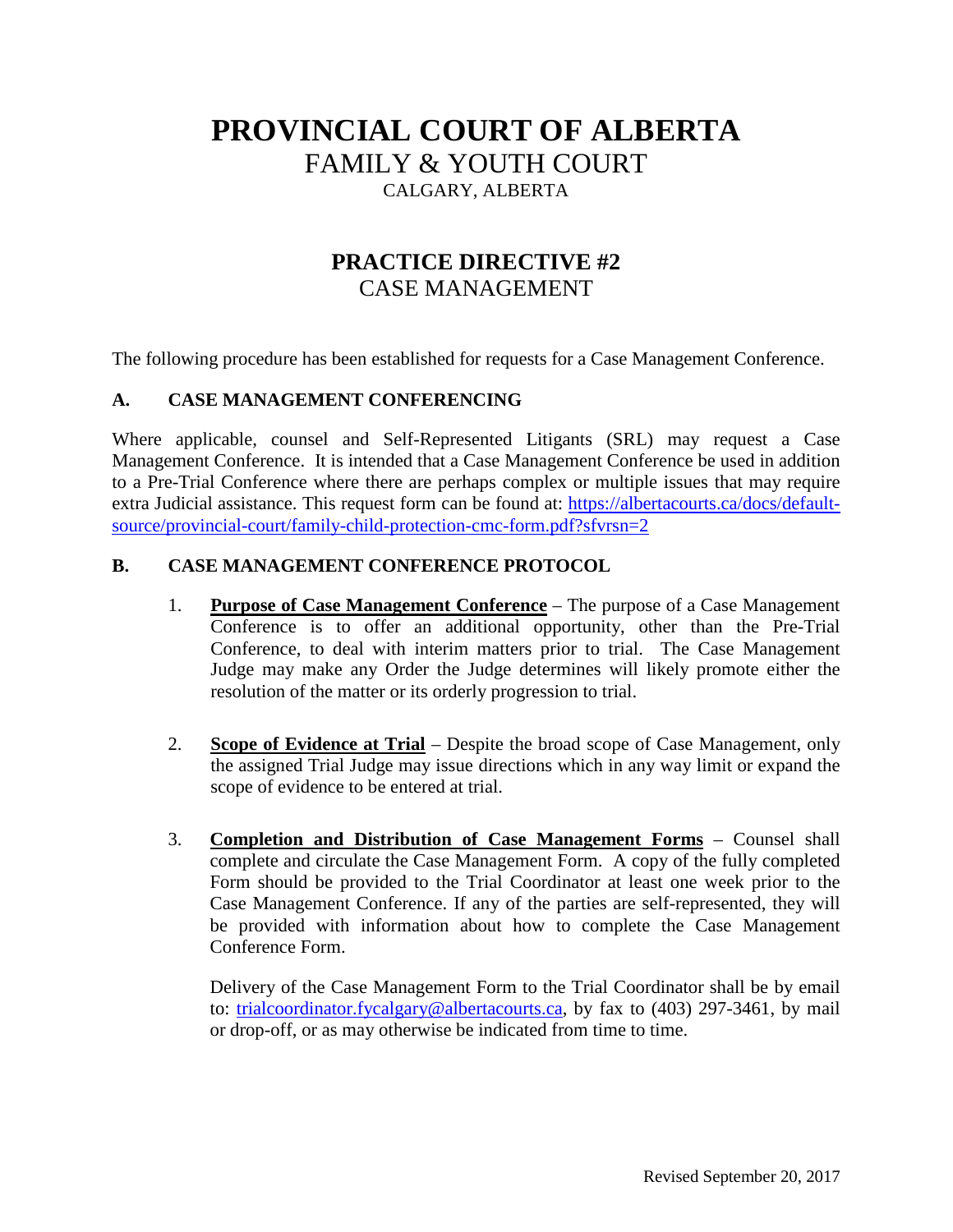## **PROVINCIAL COURT OF ALBERTA** FAMILY & YOUTH COURT

CALGARY, ALBERTA

## **PRACTICE DIRECTIVE #2** CASE MANAGEMENT

The following procedure has been established for requests for a Case Management Conference.

## **A. CASE MANAGEMENT CONFERENCING**

Where applicable, counsel and Self-Represented Litigants (SRL) may request a Case Management Conference. It is intended that a Case Management Conference be used in addition to a Pre-Trial Conference where there are perhaps complex or multiple issues that may require extra Judicial assistance. This request form can be found at: [https://albertacourts.ca/docs/default](https://albertacourts.ca/docs/default-source/provincial-court/family-child-protection-cmc-form.pdf?sfvrsn=2)[source/provincial-court/family-child-protection-cmc-form.pdf?sfvrsn=2](https://albertacourts.ca/docs/default-source/provincial-court/family-child-protection-cmc-form.pdf?sfvrsn=2)

## **B. CASE MANAGEMENT CONFERENCE PROTOCOL**

- 1. **Purpose of Case Management Conference** The purpose of a Case Management Conference is to offer an additional opportunity, other than the Pre-Trial Conference, to deal with interim matters prior to trial. The Case Management Judge may make any Order the Judge determines will likely promote either the resolution of the matter or its orderly progression to trial.
- 2. **Scope of Evidence at Trial** Despite the broad scope of Case Management, only the assigned Trial Judge may issue directions which in any way limit or expand the scope of evidence to be entered at trial.
- 3. **Completion and Distribution of Case Management Forms** Counsel shall complete and circulate the Case Management Form. A copy of the fully completed Form should be provided to the Trial Coordinator at least one week prior to the Case Management Conference. If any of the parties are self-represented, they will be provided with information about how to complete the Case Management Conference Form.

Delivery of the Case Management Form to the Trial Coordinator shall be by email to: [trialcoordinator.fycalgary@albertacourts.ca,](mailto:trialcoordinator.fycalgary@albertacourts.ca) by fax to (403) 297-3461, by mail or drop-off, or as may otherwise be indicated from time to time.